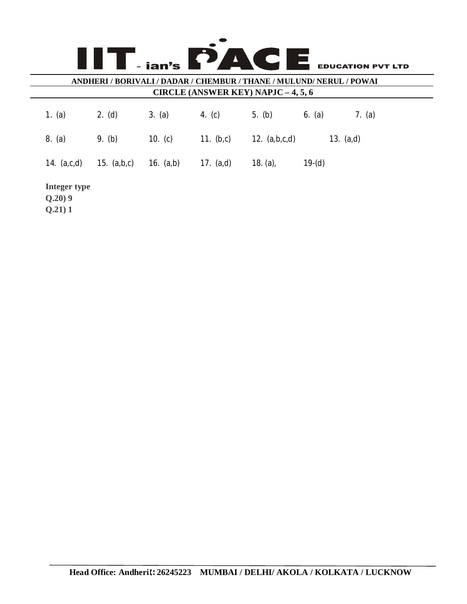| PACI<br>I E.<br>- ian's<br><b>EDUCATION PVT LTD</b><br>ANDHERI / BORIVALI / DADAR / CHEMBUR / THANE / MULUND/ NERUL / POWAI<br><b>CIRCLE (ANSWER KEY) NAPJC - 4, 5, 6</b> |               |             |              |                 |          |             |
|---------------------------------------------------------------------------------------------------------------------------------------------------------------------------|---------------|-------------|--------------|-----------------|----------|-------------|
| (a)<br>1.                                                                                                                                                                 | 2. (d)        | 3. (a)      | 4. $(c)$     | 5. (b)          | 6. (a)   | 7. $(a)$    |
| 8. (a)                                                                                                                                                                    | 9. (b)        | 10. $(c)$   | 11. $(b, c)$ | 12. $(a,b,c,d)$ |          | 13. $(a,d)$ |
| 14. $(a, c, d)$                                                                                                                                                           | 15. $(a,b,c)$ | 16. $(a,b)$ | 17. $(a,d)$  | 18. $(a)$ ,     | $19-(d)$ |             |
| Integer type<br>Q.20)9<br>Q.21)1                                                                                                                                          |               |             |              |                 |          |             |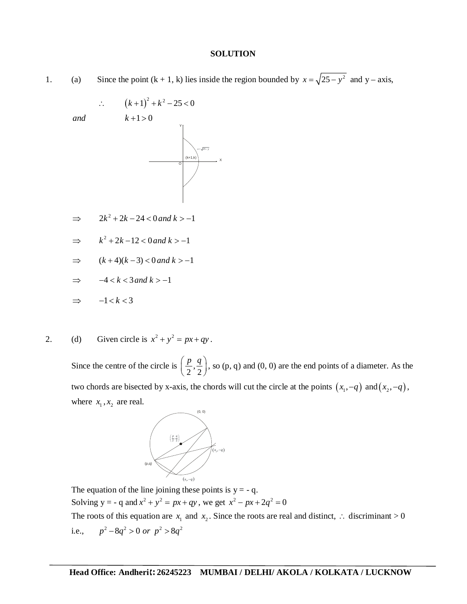## **SOLUTION**

1. (a) Since the point  $(k + 1, k)$  lies inside the region bounded by  $x = \sqrt{25 - y^2}$  and y – axis,

X

$$
\therefore (k+1)^2 + k^2 - 25 < 0
$$
  
 $k+1 > 0$ 

 $\implies$   $2k^2 + 2k - 24 < 0$  and  $k > -1$ 

$$
\Rightarrow k^2 + 2k - 12 < 0 \text{ and } k > -1
$$

- $\Rightarrow$   $(k+4)(k-3) < 0$  and  $k > -1$
- $\Rightarrow$   $-4 < k < 3$  and  $k > -1$

$$
\Rightarrow -1 < k < 3
$$

 $and$ 

2. (d) Given circle is  $x^2 + y^2 = px + qy$ .

Since the centre of the circle is  $\left| \frac{P}{2}, \right|$  $\left(\frac{p}{2}, \frac{q}{2}\right)$ , so (p, q) and (0, 0) are the end points of a diameter. As the two chords are bisected by x-axis, the chords will cut the circle at the points  $(x_1, -q)$  and  $(x_2, -q)$ , where  $x_1, x_2$  are real.



The equation of the line joining these points is  $y = -q$ . Solving  $y = -q$  and  $x^2 + y^2 = px + qy$ , we get  $x^2 - px + 2q^2 = 0$ 

The roots of this equation are  $x_1$  and  $x_2$ . Since the roots are real and distinct,  $\therefore$  discriminant > 0 i.e.,  $p^2 - 8q^2 > 0$  or  $p^2 > 8q^2$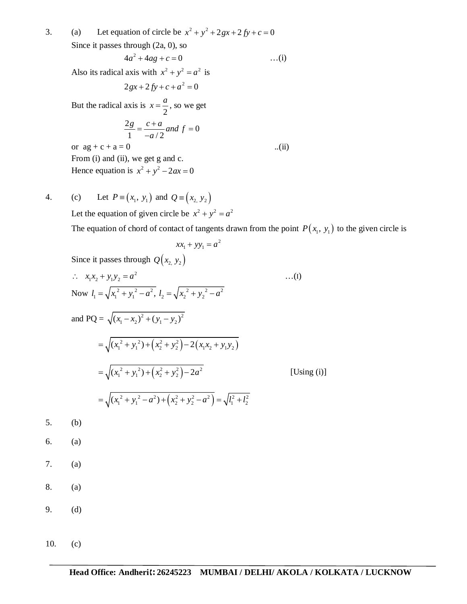3. (a) Let equation of circle be  $x^2 + y^2 + 2gx + 2fy + c = 0$ Since it passes through (2a, 0), so  $4a^2 + 4ag + c = 0$  ...(i) Also its radical axis with  $x^2 + y^2 = a^2$  is  $2gx + 2fy + c + a^2 = 0$ But the radical axis is 2  $x = \frac{a}{2}$ , so we get  $\frac{2g}{1} = \frac{c+a}{1}$  and  $f = 0$ 1  $-a/2$  $\frac{g}{f} = \frac{c+a}{a}$  *and*  $f$ *a*  $=\frac{c+a}{2}$  and  $f=0$ or  $ag + c + a = 0$  ...(ii) From (i) and (ii), we get g and c. Hence equation is  $x^2 + y^2 - 2ax = 0$ 

4. (c) Let  $P = (x_1, y_1)$  and  $Q = (x_2, y_2)$ Let the equation of given circle be  $x^2 + y^2 = a^2$ 

The equation of chord of contact of tangents drawn from the point  $P(x_1, y_1)$  to the given circle is

$$
xx_1 + yy_1 = a^2
$$

Since it passes through  $Q(x_2, y_2)$ 

$$
\therefore x_1x_2 + y_1y_2 = a^2
$$
\n...(1)  
\nNow  $l_1 = \sqrt{x_1^2 + y_1^2 - a^2}$ ,  $l_2 = \sqrt{x_2^2 + y_2^2 - a^2}$   
\nand PQ =  $\sqrt{(x_1 - x_2)^2 + (y_1 - y_2)^2}$   
\n
$$
= \sqrt{(x_1^2 + y_1^2) + (x_2^2 + y_2^2) - 2(x_1x_2 + y_1y_2)}
$$
\n
$$
= \sqrt{(x_1^2 + y_1^2) + (x_2^2 + y_2^2) - 2a^2}
$$
\n[Using (i)]  
\n
$$
= \sqrt{(x_1^2 + y_1^2 - a^2) + (x_2^2 + y_2^2 - a^2)} = \sqrt{l_1^2 + l_2^2}
$$

5. (b)

6. (a)

- 7. (a)
- 8. (a)
- 9. (d)
- 10. (c)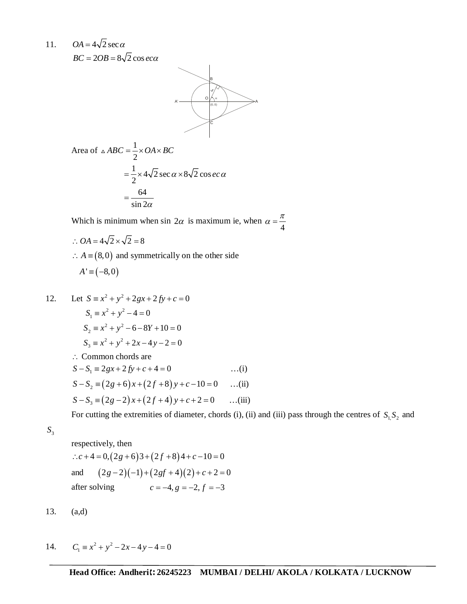11.  $OA = 4\sqrt{2} \sec \alpha$ 

 $BC = 2OB = 8\sqrt{2} \cos ec\alpha$ 



Area of 
$$
\triangle ABC = \frac{1}{2} \times OA \times BC
$$
  
=  $\frac{1}{2} \times 4\sqrt{2} \sec \alpha \times 8\sqrt{2} \cos ec \alpha$   
=  $\frac{64}{\sin 2\alpha}$ 

Which is minimum when sin  $2\alpha$  is maximum ie, when 4  $\alpha = \frac{\pi}{4}$ 

$$
\therefore OA = 4\sqrt{2} \times \sqrt{2} = 8
$$

 $\therefore$  *A* = (8,0) and symmetrically on the other side

$$
A' \equiv (-8,0)
$$

12. Let 
$$
S = x^2 + y^2 + 2gx + 2fy + c = 0
$$
  
\n $S_1 = x^2 + y^2 - 4 = 0$   
\n $S_2 = x^2 + y^2 - 6 - 8Y + 10 = 0$   
\n $S_3 = x^2 + y^2 + 2x - 4y - 2 = 0$   
\n $\therefore$  Common chords are  
\n $S - S_1 = 2gx + 2fy + c + 4 = 0$  ...(i)  
\n $S - S_2 = (2g + 6)x + (2f + 8)y + c - 10 = 0$  ...(ii)  
\n $S - S_3 = (2g - 2)x + (2f + 4)y + c + 2 = 0$  ...(iii)

For cutting the extremities of diameter, chords (i), (ii) and (iii) pass through the centres of  $S_1 S_2$  and

3 *S*

respectively, then  $c \cdot c + 4 = 0$ ,  $(2g + 6)3 + (2f + 8)4 + c - 10 = 0$ and  $(2g-2)(-1)+(2gf+4)(2)+c+2=0$ after solving  $c = -4, g = -2, f = -3$ 

13. (a,d)

14. 
$$
C_1 \equiv x^2 + y^2 - 2x - 4y - 4 = 0
$$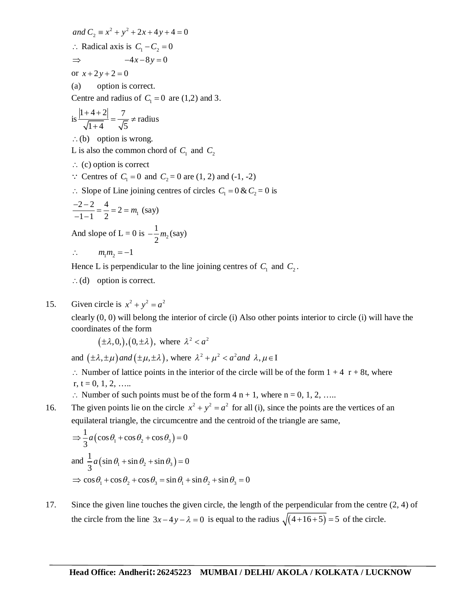and  $C_2 \equiv x^2 + y^2 + 2x + 4y + 4 = 0$  $\therefore$  Radical axis is  $C_1 - C_2 = 0$  $\Rightarrow$   $-4x-8y=0$ or  $x + 2y + 2 = 0$ 

(a) option is correct. Centre and radius of  $C_1 = 0$  are (1,2) and 3.

is 
$$
\frac{|1+4+2|}{\sqrt{1+4}} = \frac{7}{\sqrt{5}} \neq \text{radius}
$$

 $(b)$  option is wrong.

L is also the common chord of  $C_1$  and  $C_2$ 

- $\therefore$  (c) option is correct
- $\therefore$  Centres of  $C_1 = 0$  and  $C_2 = 0$  are (1, 2) and (-1, -2)
- $\therefore$  Slope of Line joining centres of circles  $C_1 = 0 & C_2 = 0$  is

$$
\frac{-2-2}{-1-1} = \frac{4}{2} = 2 = m_1 \text{ (say)}
$$

And slope of L = 0 is  $-\frac{1}{2}m_2$ 2  $-\frac{1}{2}m_2$  (say)

$$
\therefore \qquad m_1 m_2 = -1
$$

Hence L is perpendicular to the line joining centres of  $C_1$  and  $C_2$ .

- $\therefore$  (d) option is correct.
- 15. Given circle is  $x^2 + y^2 = a^2$

clearly (0, 0) will belong the interior of circle (i) Also other points interior to circle (i) will have the coordinates of the form

 $(\pm \lambda, 0), (0, \pm \lambda)$ , where  $\lambda^2 < a^2$ 

and  $(\pm \lambda, \pm \mu)$  and  $(\pm \mu, \pm \lambda)$ , where  $\lambda^2 + \mu^2 < a^2$  and  $\lambda, \mu \in I$ 

 $\therefore$  Number of lattice points in the interior of the circle will be of the form  $1 + 4$  r + 8t, where  $r, t = 0, 1, 2, \ldots$ 

- $\therefore$  Number of such points must be of the form 4 n + 1, where n = 0, 1, 2, …..
- 16. The given points lie on the circle  $x^2 + y^2 = a^2$  for all (i), since the points are the vertices of an equilateral triangle, the circumcentre and the centroid of the triangle are same,

$$
\Rightarrow \frac{1}{3}a(\cos\theta_1 + \cos\theta_2 + \cos\theta_3) = 0
$$
  
and 
$$
\frac{1}{3}a(\sin\theta_1 + \sin\theta_2 + \sin\theta_3) = 0
$$
  

$$
\Rightarrow \cos\theta_1 + \cos\theta_2 + \cos\theta_3 = \sin\theta_1 + \sin\theta_2 + \sin\theta_3 = 0
$$

17. Since the given line touches the given circle, the length of the perpendicular from the centre (2, 4) of the circle from the line  $3x-4y-\lambda = 0$  is equal to the radius  $\sqrt{(4+16+5)} = 5$  of the circle.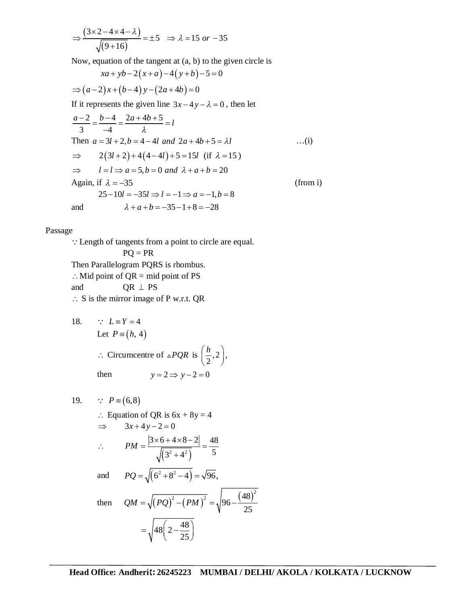$$
\Rightarrow \frac{(3 \times 2 - 4 \times 4 - \lambda)}{\sqrt{(9 + 16)}} = \pm 5 \Rightarrow \lambda = 15 \text{ or } -35
$$

Now, equation of the tangent at (a, b) to the given circle is

$$
xa + yb - 2(x+a) - 4(y+b) - 5 = 0
$$
  
\n⇒  $(a-2)x + (b-4)y - (2a + 4b) = 0$   
\nIf it represents the given line  $3x - 4y - \lambda = 0$ , then let  
\n
$$
\frac{a-2}{3} = \frac{b-4}{-4} = \frac{2a + 4b + 5}{\lambda} = l
$$
  
\nThen  $a = 3l + 2, b = 4 - 4l$  and  $2a + 4b + 5 = \lambda l$  ...(i)  
\n⇒  $2(3l + 2) + 4(4 - 4l) + 5 = 15l$  (if  $\lambda = 15$ )  
\n⇒  $l = l \Rightarrow a = 5, b = 0$  and  $\lambda + a + b = 20$   
\nAgain, if  $\lambda = -35$   
\n $25-10l = -35l \Rightarrow l = -1 \Rightarrow a = -1, b = 8$   
\nand  $\lambda + a + b = -35 - 1 + 8 = -28$ 

Passage

Length of tangents from a point to circle are equal.  $PQ = PR$ Then Parallelogram PQRS is rhombus.  $\therefore$  Mid point of QR = mid point of PS and  $QR \perp PS$  $\therefore$  S is the mirror image of P w.r.t. QR

18. ∴ 
$$
L \equiv Y = 4
$$
  
\nLet  $P = (h, 4)$   
\n∴ Circumcentre of  $\triangle PQR$  is  $\left(\frac{h}{2}, 2\right)$ ,  
\nthen  $y = 2 \Rightarrow y - 2 = 0$ 

19.   
\n
$$
P = (6,8)
$$
\n
$$
\therefore \text{ Equation of QR is } 6x + 8y = 4
$$
\n
$$
\Rightarrow 3x + 4y - 2 = 0
$$
\n
$$
\therefore PM = \frac{|3 \times 6 + 4 \times 8 - 2|}{\sqrt{(3^2 + 4^2)}} = \frac{48}{5}
$$
\nand  $PQ = \sqrt{(6^2 + 8^2 - 4)} = \sqrt{96}$ ,\nthen  $QM = \sqrt{(PQ)^2 - (PM)^2} = \sqrt{96 - \frac{(48)^2}{25}}$ \n
$$
= \sqrt{48(2 - \frac{48}{25})}
$$